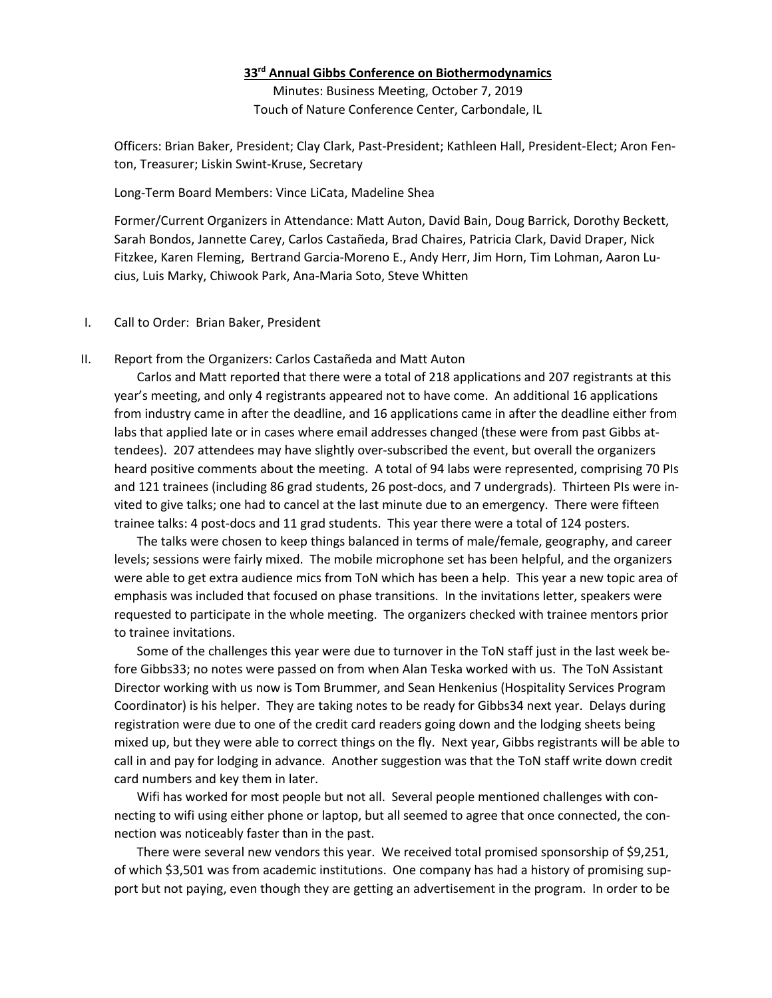## **33rd Annual Gibbs Conference on Biothermodynamics**

Minutes: Business Meeting, October 7, 2019 Touch of Nature Conference Center, Carbondale, IL

Officers: Brian Baker, President; Clay Clark, Past-President; Kathleen Hall, President-Elect; Aron Fenton, Treasurer; Liskin Swint-Kruse, Secretary

## Long-Term Board Members: Vince LiCata, Madeline Shea

Former/Current Organizers in Attendance: Matt Auton, David Bain, Doug Barrick, Dorothy Beckett, Sarah Bondos, Jannette Carey, Carlos Castañeda, Brad Chaires, Patricia Clark, David Draper, Nick Fitzkee, Karen Fleming, Bertrand Garcia-Moreno E., Andy Herr, Jim Horn, Tim Lohman, Aaron Lucius, Luis Marky, Chiwook Park, Ana-Maria Soto, Steve Whitten

## I. Call to Order: Brian Baker, President

## II. Report from the Organizers: Carlos Castañeda and Matt Auton

Carlos and Matt reported that there were a total of 218 applications and 207 registrants at this year's meeting, and only 4 registrants appeared not to have come. An additional 16 applications from industry came in after the deadline, and 16 applications came in after the deadline either from labs that applied late or in cases where email addresses changed (these were from past Gibbs attendees). 207 attendees may have slightly over-subscribed the event, but overall the organizers heard positive comments about the meeting. A total of 94 labs were represented, comprising 70 PIs and 121 trainees (including 86 grad students, 26 post-docs, and 7 undergrads). Thirteen PIs were invited to give talks; one had to cancel at the last minute due to an emergency. There were fifteen trainee talks: 4 post-docs and 11 grad students. This year there were a total of 124 posters.

The talks were chosen to keep things balanced in terms of male/female, geography, and career levels; sessions were fairly mixed. The mobile microphone set has been helpful, and the organizers were able to get extra audience mics from ToN which has been a help. This year a new topic area of emphasis was included that focused on phase transitions. In the invitations letter, speakers were requested to participate in the whole meeting. The organizers checked with trainee mentors prior to trainee invitations.

Some of the challenges this year were due to turnover in the ToN staff just in the last week before Gibbs33; no notes were passed on from when Alan Teska worked with us. The ToN Assistant Director working with us now is Tom Brummer, and Sean Henkenius (Hospitality Services Program Coordinator) is his helper. They are taking notes to be ready for Gibbs34 next year. Delays during registration were due to one of the credit card readers going down and the lodging sheets being mixed up, but they were able to correct things on the fly. Next year, Gibbs registrants will be able to call in and pay for lodging in advance. Another suggestion was that the ToN staff write down credit card numbers and key them in later.

Wifi has worked for most people but not all. Several people mentioned challenges with connecting to wifi using either phone or laptop, but all seemed to agree that once connected, the connection was noticeably faster than in the past.

There were several new vendors this year. We received total promised sponsorship of \$9,251, of which \$3,501 was from academic institutions. One company has had a history of promising support but not paying, even though they are getting an advertisement in the program. In order to be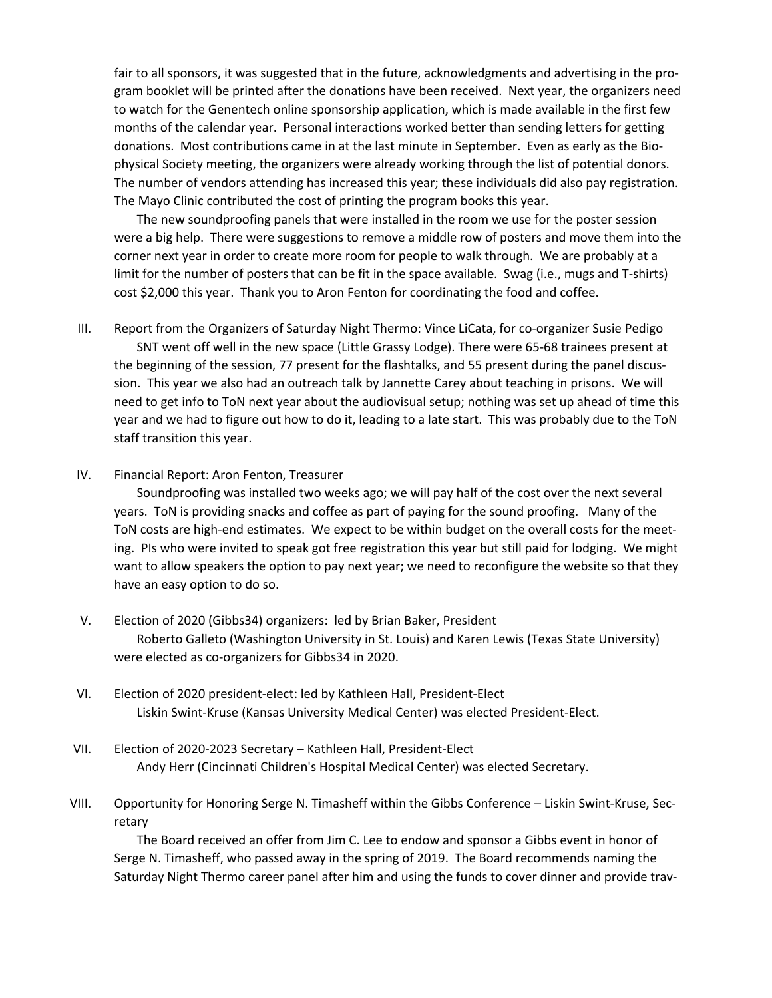fair to all sponsors, it was suggested that in the future, acknowledgments and advertising in the program booklet will be printed after the donations have been received. Next year, the organizers need to watch for the Genentech online sponsorship application, which is made available in the first few months of the calendar year. Personal interactions worked better than sending letters for getting donations. Most contributions came in at the last minute in September. Even as early as the Biophysical Society meeting, the organizers were already working through the list of potential donors. The number of vendors attending has increased this year; these individuals did also pay registration. The Mayo Clinic contributed the cost of printing the program books this year.

The new soundproofing panels that were installed in the room we use for the poster session were a big help. There were suggestions to remove a middle row of posters and move them into the corner next year in order to create more room for people to walk through. We are probably at a limit for the number of posters that can be fit in the space available. Swag (i.e., mugs and T-shirts) cost \$2,000 this year. Thank you to Aron Fenton for coordinating the food and coffee.

- III. Report from the Organizers of Saturday Night Thermo: Vince LiCata, for co-organizer Susie Pedigo SNT went off well in the new space (Little Grassy Lodge). There were 65-68 trainees present at the beginning of the session, 77 present for the flashtalks, and 55 present during the panel discussion. This year we also had an outreach talk by Jannette Carey about teaching in prisons. We will need to get info to ToN next year about the audiovisual setup; nothing was set up ahead of time this year and we had to figure out how to do it, leading to a late start. This was probably due to the ToN staff transition this year.
- IV. Financial Report: Aron Fenton, Treasurer

Soundproofing was installed two weeks ago; we will pay half of the cost over the next several years. ToN is providing snacks and coffee as part of paying for the sound proofing. Many of the ToN costs are high-end estimates. We expect to be within budget on the overall costs for the meeting. PIs who were invited to speak got free registration this year but still paid for lodging. We might want to allow speakers the option to pay next year; we need to reconfigure the website so that they have an easy option to do so.

- V. Election of 2020 (Gibbs34) organizers: led by Brian Baker, President Roberto Galleto (Washington University in St. Louis) and Karen Lewis (Texas State University) were elected as co-organizers for Gibbs34 in 2020.
- VI. Election of 2020 president-elect: led by Kathleen Hall, President-Elect Liskin Swint-Kruse (Kansas University Medical Center) was elected President-Elect.
- VII. Election of 2020-2023 Secretary Kathleen Hall, President-Elect Andy Herr (Cincinnati Children's Hospital Medical Center) was elected Secretary.
- VIII. Opportunity for Honoring Serge N. Timasheff within the Gibbs Conference Liskin Swint-Kruse, Secretary

The Board received an offer from Jim C. Lee to endow and sponsor a Gibbs event in honor of Serge N. Timasheff, who passed away in the spring of 2019. The Board recommends naming the Saturday Night Thermo career panel after him and using the funds to cover dinner and provide trav